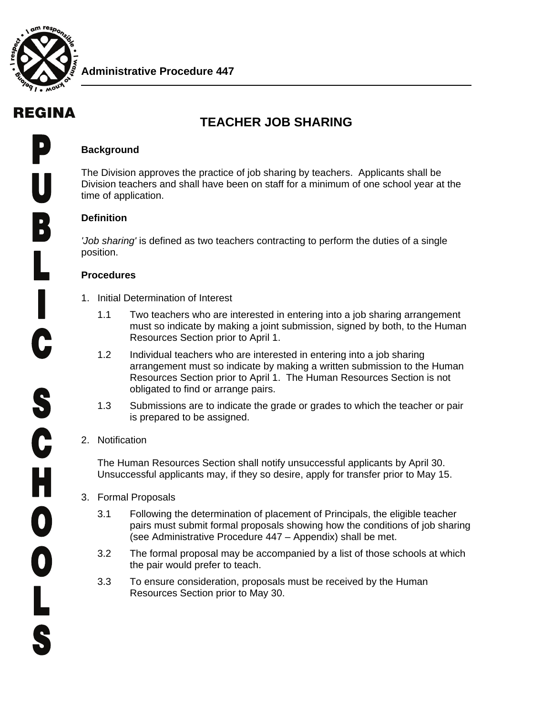

# REGINA

# **TEACHER JOB SHARING**

#### **Background**

The Division approves the practice of job sharing by teachers. Applicants shall be Division teachers and shall have been on staff for a minimum of one school year at the time of application.

#### **Definition**

*'Job sharing'* is defined as two teachers contracting to perform the duties of a single position.

#### **Procedures**

- 1. Initial Determination of Interest
	- 1.1 Two teachers who are interested in entering into a job sharing arrangement must so indicate by making a joint submission, signed by both, to the Human Resources Section prior to April 1.
	- 1.2 Individual teachers who are interested in entering into a job sharing arrangement must so indicate by making a written submission to the Human Resources Section prior to April 1. The Human Resources Section is not obligated to find or arrange pairs.
	- 1.3 Submissions are to indicate the grade or grades to which the teacher or pair is prepared to be assigned.

#### 2. Notification

The Human Resources Section shall notify unsuccessful applicants by April 30. Unsuccessful applicants may, if they so desire, apply for transfer prior to May 15.

- 3. Formal Proposals
	- 3.1 Following the determination of placement of Principals, the eligible teacher pairs must submit formal proposals showing how the conditions of job sharing (see Administrative Procedure 447 – Appendix) shall be met.
	- 3.2 The formal proposal may be accompanied by a list of those schools at which the pair would prefer to teach.
	- 3.3 To ensure consideration, proposals must be received by the Human Resources Section prior to May 30.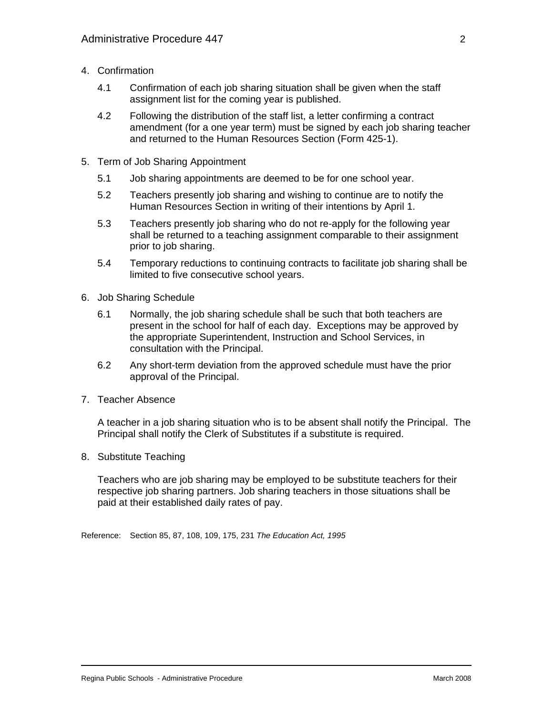- 4. Confirmation
	- 4.1 Confirmation of each job sharing situation shall be given when the staff assignment list for the coming year is published.
	- 4.2 Following the distribution of the staff list, a letter confirming a contract amendment (for a one year term) must be signed by each job sharing teacher and returned to the Human Resources Section (Form 425-1).
- 5. Term of Job Sharing Appointment
	- 5.1 Job sharing appointments are deemed to be for one school year.
	- 5.2 Teachers presently job sharing and wishing to continue are to notify the Human Resources Section in writing of their intentions by April 1.
	- 5.3 Teachers presently job sharing who do not re-apply for the following year shall be returned to a teaching assignment comparable to their assignment prior to job sharing.
	- 5.4 Temporary reductions to continuing contracts to facilitate job sharing shall be limited to five consecutive school years.
- 6. Job Sharing Schedule
	- 6.1 Normally, the job sharing schedule shall be such that both teachers are present in the school for half of each day. Exceptions may be approved by the appropriate Superintendent, Instruction and School Services, in consultation with the Principal.
	- 6.2 Any short-term deviation from the approved schedule must have the prior approval of the Principal.
- 7. Teacher Absence

A teacher in a job sharing situation who is to be absent shall notify the Principal. The Principal shall notify the Clerk of Substitutes if a substitute is required.

8. Substitute Teaching

Teachers who are job sharing may be employed to be substitute teachers for their respective job sharing partners. Job sharing teachers in those situations shall be paid at their established daily rates of pay.

Reference: Section 85, 87, 108, 109, 175, 231 *The Education Act, 1995*